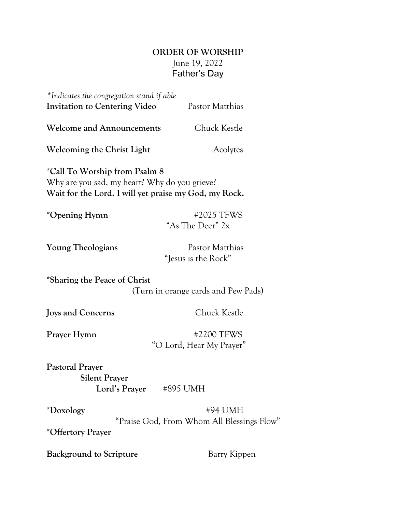# **ORDER OF WORSHIP** June 19, 2022 Father's Day

| *Indicates the congregation stand if able<br><b>Invitation to Centering Video</b>                                                       |                                        | Pastor Matthias                                       |  |
|-----------------------------------------------------------------------------------------------------------------------------------------|----------------------------------------|-------------------------------------------------------|--|
| <b>Welcome and Announcements</b>                                                                                                        |                                        | Chuck Kestle                                          |  |
| Welcoming the Christ Light                                                                                                              |                                        | Acolytes                                              |  |
| *Call To Worship from Psalm 8<br>Why are you sad, my heart? Why do you grieve?<br>Wait for the Lord. I will yet praise my God, my Rock. |                                        |                                                       |  |
| *Opening Hymn                                                                                                                           |                                        | #2025 TFWS<br>"As The Deer" 2x                        |  |
| <b>Young Theologians</b>                                                                                                                |                                        | Pastor Matthias<br>"Jesus is the Rock"                |  |
| *Sharing the Peace of Christ                                                                                                            |                                        | (Turn in orange cards and Pew Pads)                   |  |
| Joys and Concerns                                                                                                                       |                                        | Chuck Kestle                                          |  |
| Prayer Hymn                                                                                                                             | #2200 TFWS<br>"O Lord, Hear My Prayer" |                                                       |  |
| <b>Pastoral Prayer</b><br><b>Silent Prayer</b><br>Lord's Prayer                                                                         | #895 UMH                               |                                                       |  |
| *Doxology<br>*Offertory Prayer                                                                                                          |                                        | #94 UMH<br>"Praise God, From Whom All Blessings Flow" |  |

**Background to Scripture Barry Kippen**